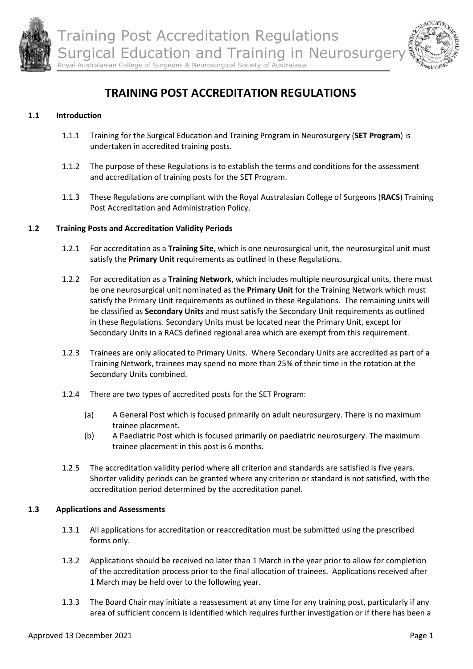



# **TRAINING POST ACCREDITATION REGULATIONS**

# **1.1 Introduction**

- 1.1.1 Training for the Surgical Education and Training Program in Neurosurgery (**SET Program**) is undertaken in accredited training posts.
- 1.1.2 The purpose of these Regulations is to establish the terms and conditions for the assessment and accreditation of training posts for the SET Program.
- 1.1.3 These Regulations are compliant with the Royal Australasian College of Surgeons (**RACS**) Training Post Accreditation and Administration Policy.

## **1.2 Training Posts and Accreditation Validity Periods**

- 1.2.1 For accreditation as a **Training Site**, which is one neurosurgical unit, the neurosurgical unit must satisfy the **Primary Unit** requirements as outlined in these Regulations.
- 1.2.2 For accreditation as a **Training Network**, which includes multiple neurosurgical units, there must be one neurosurgical unit nominated as the **Primary Unit** for the Training Network which must satisfy the Primary Unit requirements as outlined in these Regulations. The remaining units will be classified as **Secondary Units** and must satisfy the Secondary Unit requirements as outlined in these Regulations. Secondary Units must be located near the Primary Unit, except for Secondary Units in a RACS defined regional area which are exempt from this requirement.
- 1.2.3 Trainees are only allocated to Primary Units. Where Secondary Units are accredited as part of a Training Network, trainees may spend no more than 25% of their time in the rotation at the Secondary Units combined.
- 1.2.4 There are two types of accredited posts for the SET Program:
	- (a) A General Post which is focused primarily on adult neurosurgery. There is no maximum trainee placement.
	- (b) A Paediatric Post which is focused primarily on paediatric neurosurgery. The maximum trainee placement in this post is 6 months.
- 1.2.5 The accreditation validity period where all criterion and standards are satisfied is five years. Shorter validity periods can be granted where any criterion or standard is not satisfied, with the accreditation period determined by the accreditation panel.

#### **1.3 Applications and Assessments**

- 1.3.1 All applications for accreditation or reaccreditation must be submitted using the prescribed forms only.
- 1.3.2 Applications should be received no later than 1 March in the year prior to allow for completion of the accreditation process prior to the final allocation of trainees. Applications received after 1 March may be held over to the following year.
- 1.3.3 The Board Chair may initiate a reassessment at any time for any training post, particularly if any area of sufficient concern is identified which requires further investigation or if there has been a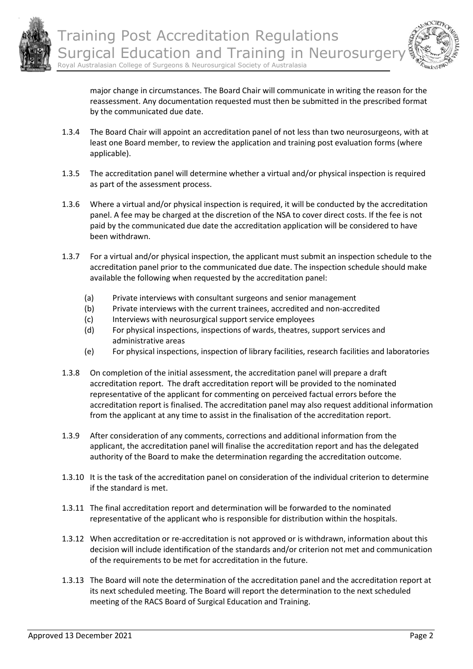



major change in circumstances. The Board Chair will communicate in writing the reason for the reassessment. Any documentation requested must then be submitted in the prescribed format by the communicated due date.

- 1.3.4 The Board Chair will appoint an accreditation panel of not less than two neurosurgeons, with at least one Board member, to review the application and training post evaluation forms (where applicable).
- 1.3.5 The accreditation panel will determine whether a virtual and/or physical inspection is required as part of the assessment process.
- 1.3.6 Where a virtual and/or physical inspection is required, it will be conducted by the accreditation panel. A fee may be charged at the discretion of the NSA to cover direct costs. If the fee is not paid by the communicated due date the accreditation application will be considered to have been withdrawn.
- 1.3.7 For a virtual and/or physical inspection, the applicant must submit an inspection schedule to the accreditation panel prior to the communicated due date. The inspection schedule should make available the following when requested by the accreditation panel:
	- (a) Private interviews with consultant surgeons and senior management
	- (b) Private interviews with the current trainees, accredited and non-accredited
	- (c) Interviews with neurosurgical support service employees
	- (d) For physical inspections, inspections of wards, theatres, support services and administrative areas
	- (e) For physical inspections, inspection of library facilities, research facilities and laboratories
- 1.3.8 On completion of the initial assessment, the accreditation panel will prepare a draft accreditation report. The draft accreditation report will be provided to the nominated representative of the applicant for commenting on perceived factual errors before the accreditation report is finalised. The accreditation panel may also request additional information from the applicant at any time to assist in the finalisation of the accreditation report.
- 1.3.9 After consideration of any comments, corrections and additional information from the applicant, the accreditation panel will finalise the accreditation report and has the delegated authority of the Board to make the determination regarding the accreditation outcome.
- 1.3.10 It is the task of the accreditation panel on consideration of the individual criterion to determine if the standard is met.
- 1.3.11 The final accreditation report and determination will be forwarded to the nominated representative of the applicant who is responsible for distribution within the hospitals.
- 1.3.12 When accreditation or re-accreditation is not approved or is withdrawn, information about this decision will include identification of the standards and/or criterion not met and communication of the requirements to be met for accreditation in the future.
- 1.3.13 The Board will note the determination of the accreditation panel and the accreditation report at its next scheduled meeting. The Board will report the determination to the next scheduled meeting of the RACS Board of Surgical Education and Training.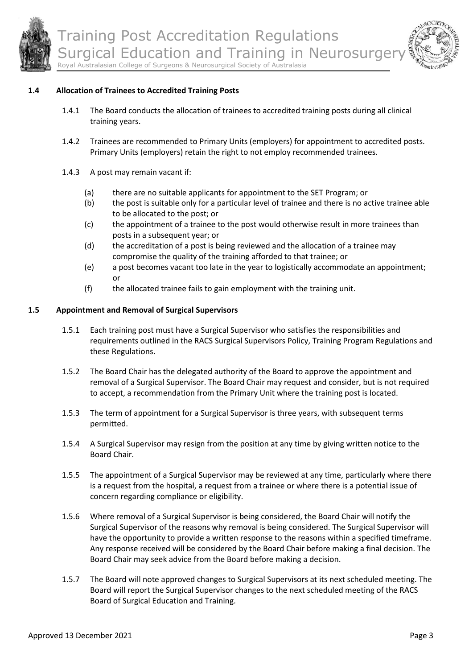



#### **1.4 Allocation of Trainees to Accredited Training Posts**

- 1.4.1 The Board conducts the allocation of trainees to accredited training posts during all clinical training years.
- 1.4.2 Trainees are recommended to Primary Units (employers) for appointment to accredited posts. Primary Units (employers) retain the right to not employ recommended trainees.
- 1.4.3 A post may remain vacant if:
	- (a) there are no suitable applicants for appointment to the SET Program; or
	- (b) the post is suitable only for a particular level of trainee and there is no active trainee able to be allocated to the post; or
	- (c) the appointment of a trainee to the post would otherwise result in more trainees than posts in a subsequent year; or
	- (d) the accreditation of a post is being reviewed and the allocation of a trainee may compromise the quality of the training afforded to that trainee; or
	- (e) a post becomes vacant too late in the year to logistically accommodate an appointment; or
	- (f) the allocated trainee fails to gain employment with the training unit.

#### **1.5 Appointment and Removal of Surgical Supervisors**

- 1.5.1 Each training post must have a Surgical Supervisor who satisfies the responsibilities and requirements outlined in the RACS Surgical Supervisors Policy, Training Program Regulations and these Regulations.
- 1.5.2 The Board Chair has the delegated authority of the Board to approve the appointment and removal of a Surgical Supervisor. The Board Chair may request and consider, but is not required to accept, a recommendation from the Primary Unit where the training post is located.
- 1.5.3 The term of appointment for a Surgical Supervisor is three years, with subsequent terms permitted.
- 1.5.4 A Surgical Supervisor may resign from the position at any time by giving written notice to the Board Chair.
- 1.5.5 The appointment of a Surgical Supervisor may be reviewed at any time, particularly where there is a request from the hospital, a request from a trainee or where there is a potential issue of concern regarding compliance or eligibility.
- 1.5.6 Where removal of a Surgical Supervisor is being considered, the Board Chair will notify the Surgical Supervisor of the reasons why removal is being considered. The Surgical Supervisor will have the opportunity to provide a written response to the reasons within a specified timeframe. Any response received will be considered by the Board Chair before making a final decision. The Board Chair may seek advice from the Board before making a decision.
- 1.5.7 The Board will note approved changes to Surgical Supervisors at its next scheduled meeting. The Board will report the Surgical Supervisor changes to the next scheduled meeting of the RACS Board of Surgical Education and Training.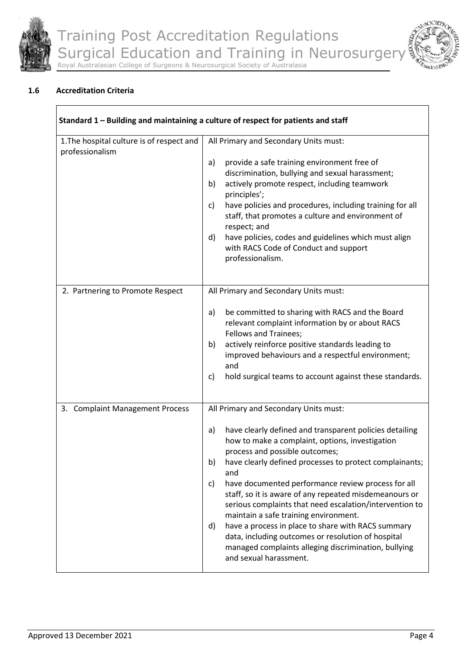



# **1.6 Accreditation Criteria**

| Standard 1 - Building and maintaining a culture of respect for patients and staff |                                                                                                                                                                                                                                                                                                                                                                                                                                                                                                                                                                                                                                                                                                   |  |
|-----------------------------------------------------------------------------------|---------------------------------------------------------------------------------------------------------------------------------------------------------------------------------------------------------------------------------------------------------------------------------------------------------------------------------------------------------------------------------------------------------------------------------------------------------------------------------------------------------------------------------------------------------------------------------------------------------------------------------------------------------------------------------------------------|--|
| 1. The hospital culture is of respect and<br>professionalism                      | All Primary and Secondary Units must:<br>provide a safe training environment free of<br>a)<br>discrimination, bullying and sexual harassment;<br>actively promote respect, including teamwork<br>b)<br>principles';<br>have policies and procedures, including training for all<br>C)<br>staff, that promotes a culture and environment of<br>respect; and<br>d)<br>have policies, codes and guidelines which must align<br>with RACS Code of Conduct and support<br>professionalism.                                                                                                                                                                                                             |  |
| 2. Partnering to Promote Respect                                                  | All Primary and Secondary Units must:<br>be committed to sharing with RACS and the Board<br>a)<br>relevant complaint information by or about RACS<br>Fellows and Trainees;<br>actively reinforce positive standards leading to<br>b)<br>improved behaviours and a respectful environment;<br>and<br>hold surgical teams to account against these standards.<br>C)                                                                                                                                                                                                                                                                                                                                 |  |
| 3. Complaint Management Process                                                   | All Primary and Secondary Units must:<br>have clearly defined and transparent policies detailing<br>a)<br>how to make a complaint, options, investigation<br>process and possible outcomes;<br>have clearly defined processes to protect complainants;<br>b)<br>and<br>have documented performance review process for all<br>C)<br>staff, so it is aware of any repeated misdemeanours or<br>serious complaints that need escalation/intervention to<br>maintain a safe training environment.<br>have a process in place to share with RACS summary<br>d)<br>data, including outcomes or resolution of hospital<br>managed complaints alleging discrimination, bullying<br>and sexual harassment. |  |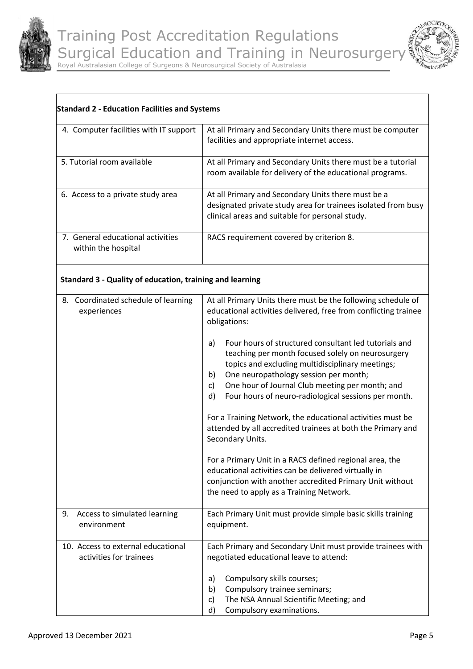



| 4. Computer facilities with IT support                   | At all Primary and Secondary Units there must be computer<br>facilities and appropriate internet access.                                                               |
|----------------------------------------------------------|------------------------------------------------------------------------------------------------------------------------------------------------------------------------|
| 5. Tutorial room available                               | At all Primary and Secondary Units there must be a tutorial<br>room available for delivery of the educational programs.                                                |
| 6. Access to a private study area                        | At all Primary and Secondary Units there must be a<br>designated private study area for trainees isolated from busy<br>clinical areas and suitable for personal study. |
| 7. General educational activities<br>within the hospital | RACS requirement covered by criterion 8.                                                                                                                               |

# **Standard 3 - Quality of education, training and learning**

| 8. Coordinated schedule of learning<br>experiences            | At all Primary Units there must be the following schedule of<br>educational activities delivered, free from conflicting trainee<br>obligations:                                                                                                                                                                                                                                                                                                                                                                                                                                                                                                                                      |
|---------------------------------------------------------------|--------------------------------------------------------------------------------------------------------------------------------------------------------------------------------------------------------------------------------------------------------------------------------------------------------------------------------------------------------------------------------------------------------------------------------------------------------------------------------------------------------------------------------------------------------------------------------------------------------------------------------------------------------------------------------------|
|                                                               | Four hours of structured consultant led tutorials and<br>a)<br>teaching per month focused solely on neurosurgery<br>topics and excluding multidisciplinary meetings;<br>One neuropathology session per month;<br>b)<br>One hour of Journal Club meeting per month; and<br>$\mathsf{c}$<br>d)<br>Four hours of neuro-radiological sessions per month.<br>For a Training Network, the educational activities must be<br>attended by all accredited trainees at both the Primary and<br>Secondary Units.<br>For a Primary Unit in a RACS defined regional area, the<br>educational activities can be delivered virtually in<br>conjunction with another accredited Primary Unit without |
|                                                               | the need to apply as a Training Network.                                                                                                                                                                                                                                                                                                                                                                                                                                                                                                                                                                                                                                             |
| 9.<br>Access to simulated learning<br>environment             | Each Primary Unit must provide simple basic skills training<br>equipment.                                                                                                                                                                                                                                                                                                                                                                                                                                                                                                                                                                                                            |
| 10. Access to external educational<br>activities for trainees | Each Primary and Secondary Unit must provide trainees with<br>negotiated educational leave to attend:                                                                                                                                                                                                                                                                                                                                                                                                                                                                                                                                                                                |
|                                                               | Compulsory skills courses;<br>a)                                                                                                                                                                                                                                                                                                                                                                                                                                                                                                                                                                                                                                                     |
|                                                               | Compulsory trainee seminars;<br>b)                                                                                                                                                                                                                                                                                                                                                                                                                                                                                                                                                                                                                                                   |
|                                                               | The NSA Annual Scientific Meeting; and<br>$\mathsf{C}$                                                                                                                                                                                                                                                                                                                                                                                                                                                                                                                                                                                                                               |
|                                                               | d)<br>Compulsory examinations.                                                                                                                                                                                                                                                                                                                                                                                                                                                                                                                                                                                                                                                       |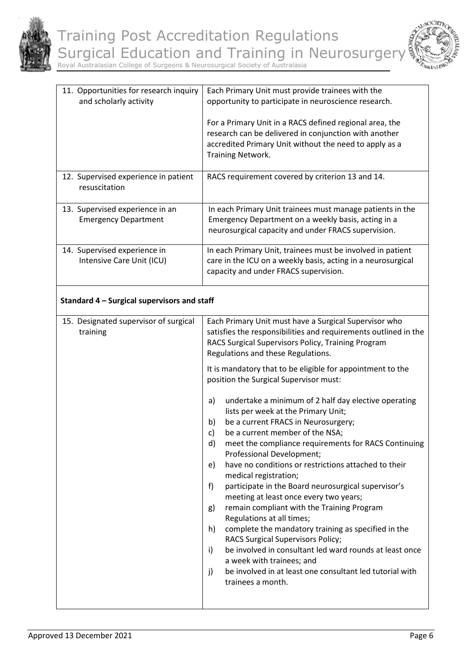



| 11. Opportunities for research inquiry<br>and scholarly activity | Each Primary Unit must provide trainees with the<br>opportunity to participate in neuroscience research.                                                                                                                                                                                                                                                                                                                                                                                                                                                                                                                                                                                                                                                                                                                                                 |
|------------------------------------------------------------------|----------------------------------------------------------------------------------------------------------------------------------------------------------------------------------------------------------------------------------------------------------------------------------------------------------------------------------------------------------------------------------------------------------------------------------------------------------------------------------------------------------------------------------------------------------------------------------------------------------------------------------------------------------------------------------------------------------------------------------------------------------------------------------------------------------------------------------------------------------|
|                                                                  | For a Primary Unit in a RACS defined regional area, the<br>research can be delivered in conjunction with another<br>accredited Primary Unit without the need to apply as a<br>Training Network.                                                                                                                                                                                                                                                                                                                                                                                                                                                                                                                                                                                                                                                          |
| 12. Supervised experience in patient<br>resuscitation            | RACS requirement covered by criterion 13 and 14.                                                                                                                                                                                                                                                                                                                                                                                                                                                                                                                                                                                                                                                                                                                                                                                                         |
| 13. Supervised experience in an<br><b>Emergency Department</b>   | In each Primary Unit trainees must manage patients in the<br>Emergency Department on a weekly basis, acting in a<br>neurosurgical capacity and under FRACS supervision.                                                                                                                                                                                                                                                                                                                                                                                                                                                                                                                                                                                                                                                                                  |
| 14. Supervised experience in<br>Intensive Care Unit (ICU)        | In each Primary Unit, trainees must be involved in patient<br>care in the ICU on a weekly basis, acting in a neurosurgical<br>capacity and under FRACS supervision.                                                                                                                                                                                                                                                                                                                                                                                                                                                                                                                                                                                                                                                                                      |
| Standard 4 - Surgical supervisors and staff                      |                                                                                                                                                                                                                                                                                                                                                                                                                                                                                                                                                                                                                                                                                                                                                                                                                                                          |
| 15. Designated supervisor of surgical<br>training                | Each Primary Unit must have a Surgical Supervisor who<br>satisfies the responsibilities and requirements outlined in the<br>RACS Surgical Supervisors Policy, Training Program<br>Regulations and these Regulations.                                                                                                                                                                                                                                                                                                                                                                                                                                                                                                                                                                                                                                     |
|                                                                  | It is mandatory that to be eligible for appointment to the<br>position the Surgical Supervisor must:                                                                                                                                                                                                                                                                                                                                                                                                                                                                                                                                                                                                                                                                                                                                                     |
|                                                                  | undertake a minimum of 2 half day elective operating<br>a)<br>lists per week at the Primary Unit;<br>be a current FRACS in Neurosurgery;<br>b)<br>be a current member of the NSA;<br>c)<br>d)<br>meet the compliance requirements for RACS Continuing<br>Professional Development;<br>have no conditions or restrictions attached to their<br>e)<br>medical registration;<br>participate in the Board neurosurgical supervisor's<br>f)<br>meeting at least once every two years;<br>remain compliant with the Training Program<br>g)<br>Regulations at all times;<br>complete the mandatory training as specified in the<br>h)<br>RACS Surgical Supervisors Policy;<br>be involved in consultant led ward rounds at least once<br>i)<br>a week with trainees; and<br>be involved in at least one consultant led tutorial with<br>j)<br>trainees a month. |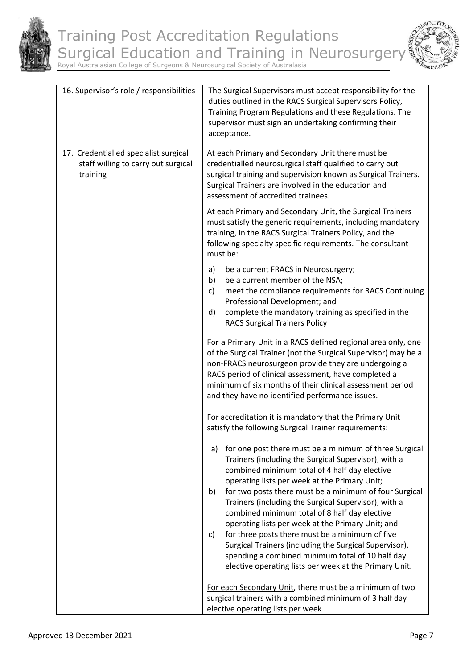



| 16. Supervisor's role / responsibilities                                                 | The Surgical Supervisors must accept responsibility for the<br>duties outlined in the RACS Surgical Supervisors Policy,<br>Training Program Regulations and these Regulations. The<br>supervisor must sign an undertaking confirming their<br>acceptance.                                                                                                                                                                                                                                                                                                                                                                                                                          |
|------------------------------------------------------------------------------------------|------------------------------------------------------------------------------------------------------------------------------------------------------------------------------------------------------------------------------------------------------------------------------------------------------------------------------------------------------------------------------------------------------------------------------------------------------------------------------------------------------------------------------------------------------------------------------------------------------------------------------------------------------------------------------------|
| 17. Credentialled specialist surgical<br>staff willing to carry out surgical<br>training | At each Primary and Secondary Unit there must be<br>credentialled neurosurgical staff qualified to carry out<br>surgical training and supervision known as Surgical Trainers.<br>Surgical Trainers are involved in the education and<br>assessment of accredited trainees.                                                                                                                                                                                                                                                                                                                                                                                                         |
|                                                                                          | At each Primary and Secondary Unit, the Surgical Trainers<br>must satisfy the generic requirements, including mandatory<br>training, in the RACS Surgical Trainers Policy, and the<br>following specialty specific requirements. The consultant<br>must be:                                                                                                                                                                                                                                                                                                                                                                                                                        |
|                                                                                          | be a current FRACS in Neurosurgery;<br>a)<br>be a current member of the NSA;<br>b)<br>meet the compliance requirements for RACS Continuing<br>c)<br>Professional Development; and<br>complete the mandatory training as specified in the<br>d)<br><b>RACS Surgical Trainers Policy</b>                                                                                                                                                                                                                                                                                                                                                                                             |
|                                                                                          | For a Primary Unit in a RACS defined regional area only, one<br>of the Surgical Trainer (not the Surgical Supervisor) may be a<br>non-FRACS neurosurgeon provide they are undergoing a<br>RACS period of clinical assessment, have completed a<br>minimum of six months of their clinical assessment period<br>and they have no identified performance issues.                                                                                                                                                                                                                                                                                                                     |
|                                                                                          | For accreditation it is mandatory that the Primary Unit<br>satisfy the following Surgical Trainer requirements:                                                                                                                                                                                                                                                                                                                                                                                                                                                                                                                                                                    |
|                                                                                          | a) for one post there must be a minimum of three Surgical<br>Trainers (including the Surgical Supervisor), with a<br>combined minimum total of 4 half day elective<br>operating lists per week at the Primary Unit;<br>for two posts there must be a minimum of four Surgical<br>b)<br>Trainers (including the Surgical Supervisor), with a<br>combined minimum total of 8 half day elective<br>operating lists per week at the Primary Unit; and<br>for three posts there must be a minimum of five<br>C)<br>Surgical Trainers (including the Surgical Supervisor),<br>spending a combined minimum total of 10 half day<br>elective operating lists per week at the Primary Unit. |
|                                                                                          | For each Secondary Unit, there must be a minimum of two<br>surgical trainers with a combined minimum of 3 half day<br>elective operating lists per week.                                                                                                                                                                                                                                                                                                                                                                                                                                                                                                                           |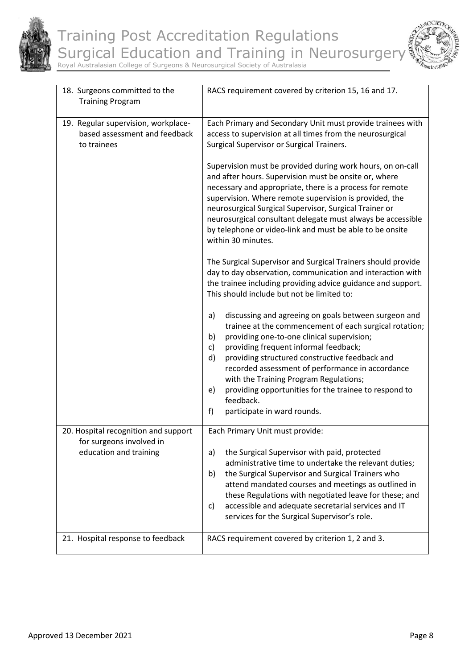



| 18. Surgeons committed to the<br><b>Training Program</b>                                   | RACS requirement covered by criterion 15, 16 and 17.                                                                                                                                                                                                                                                                                                                                                                                                                                                                                                                                                                                                                                                                                                                                                                                                                     |
|--------------------------------------------------------------------------------------------|--------------------------------------------------------------------------------------------------------------------------------------------------------------------------------------------------------------------------------------------------------------------------------------------------------------------------------------------------------------------------------------------------------------------------------------------------------------------------------------------------------------------------------------------------------------------------------------------------------------------------------------------------------------------------------------------------------------------------------------------------------------------------------------------------------------------------------------------------------------------------|
| 19. Regular supervision, workplace-<br>based assessment and feedback<br>to trainees        | Each Primary and Secondary Unit must provide trainees with<br>access to supervision at all times from the neurosurgical<br>Surgical Supervisor or Surgical Trainers.<br>Supervision must be provided during work hours, on on-call<br>and after hours. Supervision must be onsite or, where<br>necessary and appropriate, there is a process for remote<br>supervision. Where remote supervision is provided, the<br>neurosurgical Surgical Supervisor, Surgical Trainer or<br>neurosurgical consultant delegate must always be accessible<br>by telephone or video-link and must be able to be onsite<br>within 30 minutes.<br>The Surgical Supervisor and Surgical Trainers should provide<br>day to day observation, communication and interaction with<br>the trainee including providing advice guidance and support.<br>This should include but not be limited to: |
|                                                                                            | discussing and agreeing on goals between surgeon and<br>a)<br>trainee at the commencement of each surgical rotation;<br>providing one-to-one clinical supervision;<br>b)<br>providing frequent informal feedback;<br>c)<br>providing structured constructive feedback and<br>d)<br>recorded assessment of performance in accordance<br>with the Training Program Regulations;<br>providing opportunities for the trainee to respond to<br>e)<br>feedback.<br>f)<br>participate in ward rounds.                                                                                                                                                                                                                                                                                                                                                                           |
| 20. Hospital recognition and support<br>for surgeons involved in<br>education and training | Each Primary Unit must provide:<br>the Surgical Supervisor with paid, protected<br>a)<br>administrative time to undertake the relevant duties;<br>the Surgical Supervisor and Surgical Trainers who<br>b)<br>attend mandated courses and meetings as outlined in<br>these Regulations with negotiated leave for these; and<br>accessible and adequate secretarial services and IT<br>C)<br>services for the Surgical Supervisor's role.                                                                                                                                                                                                                                                                                                                                                                                                                                  |
| 21. Hospital response to feedback                                                          | RACS requirement covered by criterion 1, 2 and 3.                                                                                                                                                                                                                                                                                                                                                                                                                                                                                                                                                                                                                                                                                                                                                                                                                        |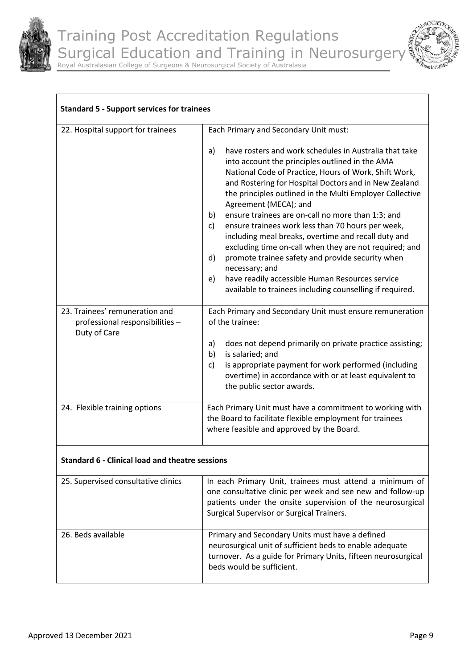

 $\sqrt{ }$ 

Royal Australasian College of Surgeons & Neurosurgical Society of Australasia

|  |            | $T_{T}$ | $\hat{\mathcal{L}}_{\mathcal{U}}$ |
|--|------------|---------|-----------------------------------|
|  | <b>IRK</b> |         |                                   |

| 22. Hospital support for trainees                                                 | Each Primary and Secondary Unit must:                                                                                                                                                                                                                                                                                                                                                                                                                                                                                                                                                                                                                                                                                                                                    |
|-----------------------------------------------------------------------------------|--------------------------------------------------------------------------------------------------------------------------------------------------------------------------------------------------------------------------------------------------------------------------------------------------------------------------------------------------------------------------------------------------------------------------------------------------------------------------------------------------------------------------------------------------------------------------------------------------------------------------------------------------------------------------------------------------------------------------------------------------------------------------|
|                                                                                   | have rosters and work schedules in Australia that take<br>a)<br>into account the principles outlined in the AMA<br>National Code of Practice, Hours of Work, Shift Work,<br>and Rostering for Hospital Doctors and in New Zealand<br>the principles outlined in the Multi Employer Collective<br>Agreement (MECA); and<br>ensure trainees are on-call no more than 1:3; and<br>b)<br>ensure trainees work less than 70 hours per week,<br>$\mathsf{c}$<br>including meal breaks, overtime and recall duty and<br>excluding time on-call when they are not required; and<br>promote trainee safety and provide security when<br>d)<br>necessary; and<br>have readily accessible Human Resources service<br>e)<br>available to trainees including counselling if required. |
| 23. Trainees' remuneration and<br>professional responsibilities -<br>Duty of Care | Each Primary and Secondary Unit must ensure remuneration<br>of the trainee:                                                                                                                                                                                                                                                                                                                                                                                                                                                                                                                                                                                                                                                                                              |
|                                                                                   | does not depend primarily on private practice assisting;<br>a)<br>is salaried; and<br>b)<br>is appropriate payment for work performed (including<br>c)<br>overtime) in accordance with or at least equivalent to<br>the public sector awards.                                                                                                                                                                                                                                                                                                                                                                                                                                                                                                                            |
| 24. Flexible training options                                                     | Each Primary Unit must have a commitment to working with<br>the Board to facilitate flexible employment for trainees<br>where feasible and approved by the Board.                                                                                                                                                                                                                                                                                                                                                                                                                                                                                                                                                                                                        |

# **Standard 6 - Clinical load and theatre sessions**

| 25. Supervised consultative clinics | In each Primary Unit, trainees must attend a minimum of<br>one consultative clinic per week and see new and follow-up<br>patients under the onsite supervision of the neurosurgical<br>Surgical Supervisor or Surgical Trainers. |
|-------------------------------------|----------------------------------------------------------------------------------------------------------------------------------------------------------------------------------------------------------------------------------|
| 26. Beds available                  | Primary and Secondary Units must have a defined<br>neurosurgical unit of sufficient beds to enable adequate<br>turnover. As a guide for Primary Units, fifteen neurosurgical<br>beds would be sufficient.                        |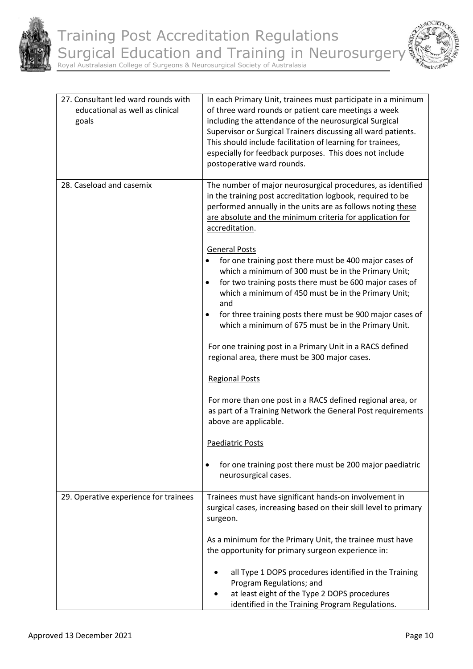



| 27. Consultant led ward rounds with<br>educational as well as clinical<br>goals | In each Primary Unit, trainees must participate in a minimum<br>of three ward rounds or patient care meetings a week<br>including the attendance of the neurosurgical Surgical<br>Supervisor or Surgical Trainers discussing all ward patients.<br>This should include facilitation of learning for trainees,<br>especially for feedback purposes. This does not include<br>postoperative ward rounds.                    |
|---------------------------------------------------------------------------------|---------------------------------------------------------------------------------------------------------------------------------------------------------------------------------------------------------------------------------------------------------------------------------------------------------------------------------------------------------------------------------------------------------------------------|
| 28. Caseload and casemix                                                        | The number of major neurosurgical procedures, as identified<br>in the training post accreditation logbook, required to be<br>performed annually in the units are as follows noting these<br>are absolute and the minimum criteria for application for<br>accreditation.                                                                                                                                                   |
|                                                                                 | <b>General Posts</b><br>for one training post there must be 400 major cases of<br>$\bullet$<br>which a minimum of 300 must be in the Primary Unit;<br>for two training posts there must be 600 major cases of<br>$\bullet$<br>which a minimum of 450 must be in the Primary Unit;<br>and<br>for three training posts there must be 900 major cases of<br>$\bullet$<br>which a minimum of 675 must be in the Primary Unit. |
|                                                                                 | For one training post in a Primary Unit in a RACS defined<br>regional area, there must be 300 major cases.<br><b>Regional Posts</b>                                                                                                                                                                                                                                                                                       |
|                                                                                 | For more than one post in a RACS defined regional area, or<br>as part of a Training Network the General Post requirements<br>above are applicable.                                                                                                                                                                                                                                                                        |
|                                                                                 | <b>Paediatric Posts</b>                                                                                                                                                                                                                                                                                                                                                                                                   |
|                                                                                 | for one training post there must be 200 major paediatric<br>neurosurgical cases.                                                                                                                                                                                                                                                                                                                                          |
| 29. Operative experience for trainees                                           | Trainees must have significant hands-on involvement in<br>surgical cases, increasing based on their skill level to primary<br>surgeon.                                                                                                                                                                                                                                                                                    |
|                                                                                 | As a minimum for the Primary Unit, the trainee must have<br>the opportunity for primary surgeon experience in:                                                                                                                                                                                                                                                                                                            |
|                                                                                 | all Type 1 DOPS procedures identified in the Training<br>Program Regulations; and<br>at least eight of the Type 2 DOPS procedures<br>identified in the Training Program Regulations.                                                                                                                                                                                                                                      |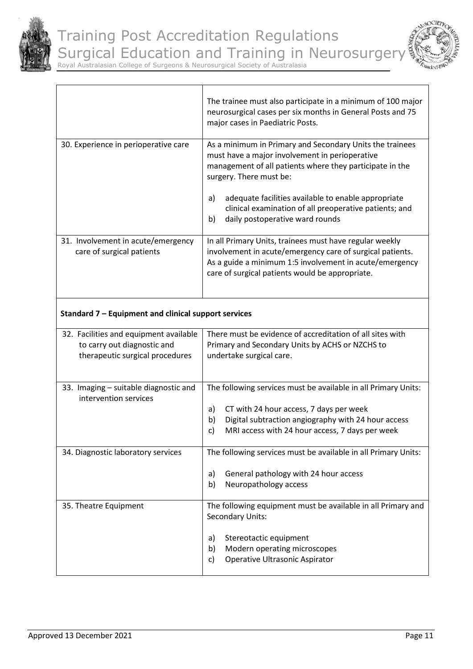

.



Royal Australasian College of Surgeons & Neurosurgical Society of Australasia

|                                                                 | The trainee must also participate in a minimum of 100 major<br>neurosurgical cases per six months in General Posts and 75<br>major cases in Paediatric Posts.                                                                                                                                                                                                     |
|-----------------------------------------------------------------|-------------------------------------------------------------------------------------------------------------------------------------------------------------------------------------------------------------------------------------------------------------------------------------------------------------------------------------------------------------------|
| 30. Experience in perioperative care                            | As a minimum in Primary and Secondary Units the trainees<br>must have a major involvement in perioperative<br>management of all patients where they participate in the<br>surgery. There must be:<br>adequate facilities available to enable appropriate<br>a)<br>clinical examination of all preoperative patients; and<br>daily postoperative ward rounds<br>b) |
| 31. Involvement in acute/emergency<br>care of surgical patients | In all Primary Units, trainees must have regular weekly<br>involvement in acute/emergency care of surgical patients.<br>As a guide a minimum 1:5 involvement in acute/emergency<br>care of surgical patients would be appropriate.                                                                                                                                |

# **Standard 7 – Equipment and clinical support services**

| 32. Facilities and equipment available<br>to carry out diagnostic and<br>therapeutic surgical procedures | There must be evidence of accreditation of all sites with<br>Primary and Secondary Units by ACHS or NZCHS to<br>undertake surgical care.                                                                                              |  |
|----------------------------------------------------------------------------------------------------------|---------------------------------------------------------------------------------------------------------------------------------------------------------------------------------------------------------------------------------------|--|
| 33. Imaging – suitable diagnostic and<br>intervention services                                           | The following services must be available in all Primary Units:<br>CT with 24 hour access, 7 days per week<br>a)<br>b)<br>Digital subtraction angiography with 24 hour access<br>MRI access with 24 hour access, 7 days per week<br>c) |  |
| 34. Diagnostic laboratory services                                                                       | The following services must be available in all Primary Units:<br>General pathology with 24 hour access<br>a)<br>b)<br>Neuropathology access                                                                                          |  |
| 35. Theatre Equipment                                                                                    | The following equipment must be available in all Primary and<br><b>Secondary Units:</b><br>Stereotactic equipment<br>a)<br>b)<br>Modern operating microscopes<br>Operative Ultrasonic Aspirator<br>C)                                 |  |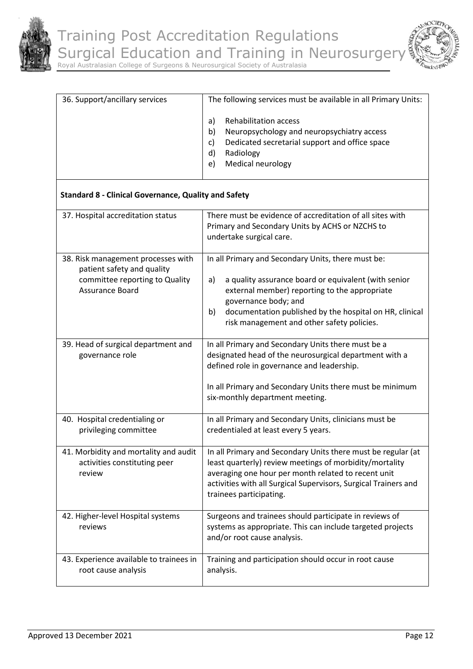



| 36. Support/ancillary services | The following services must be available in all Primary Units:                                                                                                                              |
|--------------------------------|---------------------------------------------------------------------------------------------------------------------------------------------------------------------------------------------|
|                                | <b>Rehabilitation access</b><br>a<br>Neuropsychology and neuropsychiatry access<br>b)<br>Dedicated secretarial support and office space<br>C)<br>d)<br>Radiology<br>Medical neurology<br>e) |
|                                |                                                                                                                                                                                             |

# **Standard 8 - Clinical Governance, Quality and Safety**

| 37. Hospital accreditation status                                                                                            | There must be evidence of accreditation of all sites with<br>Primary and Secondary Units by ACHS or NZCHS to<br>undertake surgical care.                                                                                                                                                                 |
|------------------------------------------------------------------------------------------------------------------------------|----------------------------------------------------------------------------------------------------------------------------------------------------------------------------------------------------------------------------------------------------------------------------------------------------------|
| 38. Risk management processes with<br>patient safety and quality<br>committee reporting to Quality<br><b>Assurance Board</b> | In all Primary and Secondary Units, there must be:<br>a quality assurance board or equivalent (with senior<br>a)<br>external member) reporting to the appropriate<br>governance body; and<br>documentation published by the hospital on HR, clinical<br>b)<br>risk management and other safety policies. |
| 39. Head of surgical department and<br>governance role                                                                       | In all Primary and Secondary Units there must be a<br>designated head of the neurosurgical department with a<br>defined role in governance and leadership.<br>In all Primary and Secondary Units there must be minimum<br>six-monthly department meeting.                                                |
| 40. Hospital credentialing or<br>privileging committee                                                                       | In all Primary and Secondary Units, clinicians must be<br>credentialed at least every 5 years.                                                                                                                                                                                                           |
| 41. Morbidity and mortality and audit<br>activities constituting peer<br>review                                              | In all Primary and Secondary Units there must be regular (at<br>least quarterly) review meetings of morbidity/mortality<br>averaging one hour per month related to recent unit<br>activities with all Surgical Supervisors, Surgical Trainers and<br>trainees participating.                             |
| 42. Higher-level Hospital systems<br>reviews                                                                                 | Surgeons and trainees should participate in reviews of<br>systems as appropriate. This can include targeted projects<br>and/or root cause analysis.                                                                                                                                                      |
| 43. Experience available to trainees in<br>root cause analysis                                                               | Training and participation should occur in root cause<br>analysis.                                                                                                                                                                                                                                       |